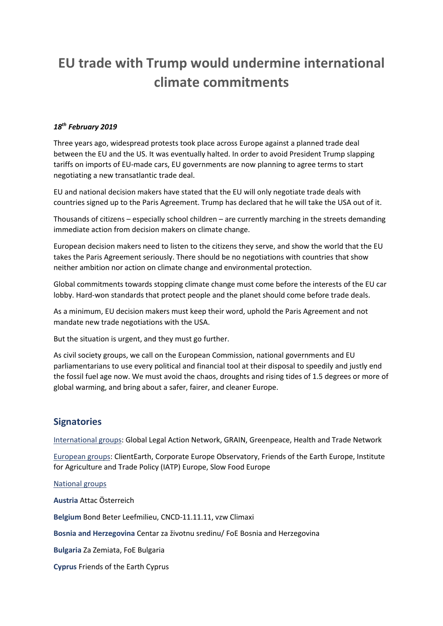## **EU trade with Trump would undermine international climate commitments**

## *18th February 2019*

Three years ago, widespread protests took place across Europe against a planned trade deal between the EU and the US. It was eventually halted. In order to avoid President Trump slapping tariffs on imports of EU-made cars, EU governments are now planning to agree terms to start negotiating a new transatlantic trade deal.

EU and national decision makers have stated that the EU will only negotiate trade deals with countries signed up to the Paris Agreement. Trump has declared that he will take the USA out of it.

Thousands of citizens – especially school children – are currently marching in the streets demanding immediate action from decision makers on climate change.

European decision makers need to listen to the citizens they serve, and show the world that the EU takes the Paris Agreement seriously. There should be no negotiations with countries that show neither ambition nor action on climate change and environmental protection.

Global commitments towards stopping climate change must come before the interests of the EU car lobby. Hard-won standards that protect people and the planet should come before trade deals.

As a minimum, EU decision makers must keep their word, uphold the Paris Agreement and not mandate new trade negotiations with the USA.

But the situation is urgent, and they must go further.

As civil society groups, we call on the European Commission, national governments and EU parliamentarians to use every political and financial tool at their disposal to speedily and justly end the fossil fuel age now. We must avoid the chaos, droughts and rising tides of 1.5 degrees or more of global warming, and bring about a safer, fairer, and cleaner Europe.

## **Signatories**

International groups: Global Legal Action Network, GRAIN, Greenpeace, Health and Trade Network

European groups: ClientEarth, Corporate Europe Observatory, Friends of the Earth Europe, Institute for Agriculture and Trade Policy (IATP) Europe, Slow Food Europe

National groups

**Austria** Attac Österreich

**Belgium** Bond Beter Leefmilieu, CNCD-11.11.11, vzw Climaxi

**Bosnia and Herzegovina** Centar za životnu sredinu/ FoE Bosnia and Herzegovina

**Bulgaria** Za Zemiata, FoE Bulgaria

**Cyprus** Friends of the Earth Cyprus